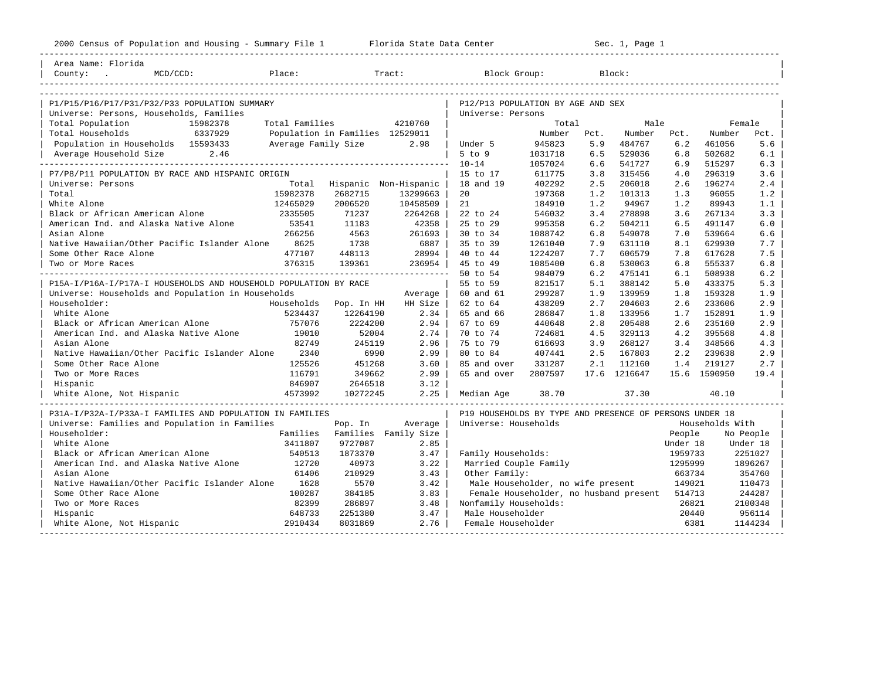2000 Florida State Data Center - Sec. 1, Page 1 ----------------------------------------------------------------------------------------------------------------------------------------------------

| Area Name: Florida                                               |                                                                                                    |                                 |                    |                              |                                        |                                        |      |              |                            |              |                   |
|------------------------------------------------------------------|----------------------------------------------------------------------------------------------------|---------------------------------|--------------------|------------------------------|----------------------------------------|----------------------------------------|------|--------------|----------------------------|--------------|-------------------|
|                                                                  |                                                                                                    |                                 |                    |                              |                                        |                                        |      |              |                            |              |                   |
|                                                                  |                                                                                                    |                                 |                    |                              |                                        |                                        |      |              |                            |              |                   |
| P1/P15/P16/P17/P31/P32/P33 POPULATION SUMMARY                    |                                                                                                    |                                 |                    |                              |                                        |                                        |      |              |                            |              |                   |
| Universe: Persons, Households, Families                          | P12/P13 POPULATION BY AGE AND SEX<br>Universe: Persons                                             |                                 |                    |                              |                                        |                                        |      |              |                            |              |                   |
| Total Population                                                 | 15982378                                                                                           | Total Families                  |                    | 4210760                      |                                        | Total                                  |      | Male         |                            |              | Female            |
| Total Households                                                 | 6337929                                                                                            | Population in Families 12529011 |                    |                              |                                        | Number                                 | Pct. | Number       | Pct.                       | Number       | Pct.              |
| Population in Households 15593433                                |                                                                                                    | Average Family Size             |                    | 2.98                         | Under 5                                | 945823                                 | 5.9  | 484767       | 6.2                        | 461056       | 5.6               |
| Average Household Size                                           | 2.46                                                                                               |                                 |                    |                              | $5$ to $9$                             | 1031718                                | 6.5  | 529036       | 6.8                        | 502682       | 6.1               |
|                                                                  |                                                                                                    |                                 |                    |                              | $10 - 14$                              | 1057024                                | 6.6  | 541727       | 6.9                        | 515297       | 6.3               |
| P7/P8/P11 POPULATION BY RACE AND HISPANIC ORIGIN                 |                                                                                                    |                                 |                    |                              | 15 to 17                               | 611775                                 | 3.8  | 315456       | 4.0                        | 296319       | 3.6               |
| Universe: Persons                                                |                                                                                                    | Total                           |                    | Hispanic Non-Hispanic        | 18 and 19                              | 402292                                 | 2.5  | 206018       | 2.6                        | 196274       | 2.4               |
| Total                                                            |                                                                                                    | 15982378                        | 2682715            | 13299663                     | 20                                     | 197368                                 | 1.2  | 101313       | 1.3                        | 96055        | 1.2               |
| White Alone                                                      |                                                                                                    | 12465029                        | 2006520            | 10458509                     | 21                                     | 184910                                 | 1.2  | 94967        | 1.2                        | 89943        | 1.1               |
| Black or African American Alone                                  |                                                                                                    | 2335505                         | 71237              | 2264268                      | 22 to 24                               | 546032                                 | 3.4  | 278898       | 3.6                        | 267134       | 3.3               |
| American Ind. and Alaska Native Alone                            |                                                                                                    | 53541                           | 11183              | 42358                        | 25 to 29                               | 995358                                 | 6.2  | 504211       | 6.5                        | 491147       | 6.0               |
| Asian Alone                                                      |                                                                                                    | 266256                          | 4563               | 261693                       | 30 to 34                               | 1088742                                | 6.8  | 549078       | 7.0                        | 539664       | 6.6               |
| Native Hawaiian/Other Pacific Islander Alone 8625                |                                                                                                    |                                 | 1738               | 6887                         | 35 to 39                               | 1261040                                | 7.9  | 631110       | 8.1                        | 629930       | 7.7               |
| Some Other Race Alone                                            |                                                                                                    | 477107                          | 448113             | 28994                        | 40 to 44                               | 1224207                                | 7.7  | 606579       | 7.8                        | 617628       | 7.5               |
| Two or More Races                                                |                                                                                                    | 376315                          | 139361             | 236954                       | 45 to 49                               | 1085400                                | 6.8  | 530063       | 6.8                        | 555337       | 6.8               |
|                                                                  |                                                                                                    |                                 |                    |                              | 50 to 54                               | 984079                                 | 6.2  | 475141       | 6.1                        | 508938       | 6.2               |
| P15A-I/P16A-I/P17A-I HOUSEHOLDS AND HOUSEHOLD POPULATION BY RACE |                                                                                                    |                                 |                    |                              | 55 to 59                               | 821517                                 | 5.1  | 388142       | 5.0                        | 433375       | 5.3               |
| Universe: Households and Population in Households                |                                                                                                    |                                 |                    | Average                      | 60 and 61                              | 299287                                 | 1.9  | 139959       | 1.8                        | 159328       | 1.9               |
| Householder:                                                     |                                                                                                    | Households                      | Pop. In HH         | HH Size                      | 62 to 64                               | 438209                                 | 2.7  | 204603       | 2.6                        | 233606       | 2.9               |
| White Alone                                                      |                                                                                                    | 5234437                         | 12264190           | 2.34                         | 65 and 66                              | 286847                                 | 1.8  | 133956       | 1.7                        | 152891       | 1.9               |
| Black or African American Alone                                  |                                                                                                    | 757076                          | 2224200            | 2.94                         | 67 to 69                               | 440648                                 | 2.8  | 205488       | 2.6                        | 235160       | 2.9               |
| American Ind. and Alaska Native Alone                            |                                                                                                    | 19010                           | 52004              | 2.74                         | 70 to 74                               | 724681                                 | 4.5  | 329113       | 4.2                        | 395568       | 4.8               |
| Asian Alone                                                      |                                                                                                    | 82749                           | 245119             | 2.96                         | 75 to 79                               | 616693                                 | 3.9  | 268127       | 3.4                        | 348566       | 4.3               |
| Native Hawaiian/Other Pacific Islander Alone 2340                |                                                                                                    |                                 | 6990               | 2.99                         | 80 to 84                               | 407441                                 | 2.5  | 167803       | 2.2                        | 239638       | 2.9               |
| Some Other Race Alone                                            |                                                                                                    | 125526                          | 451268             | 3.60                         | 85 and over                            | 331287                                 | 2.1  | 112160       | 1.4                        | 219127       | 2.7               |
| Two or More Races                                                |                                                                                                    | 116791                          | 349662             | 2.99                         | 65 and over                            | 2807597                                |      | 17.6 1216647 |                            | 15.6 1590950 | 19.4              |
| Hispanic                                                         |                                                                                                    | 846907                          | 2646518            | 3.12                         |                                        |                                        |      |              |                            |              |                   |
| White Alone, Not Hispanic                                        |                                                                                                    | 4573992                         | 10272245           | 2.25                         | Median Age                             | 38.70                                  |      | 37.30        |                            | 40.10        |                   |
|                                                                  |                                                                                                    |                                 |                    |                              |                                        |                                        |      |              |                            |              |                   |
| P31A-I/P32A-I/P33A-I FAMILIES AND POPULATION IN FAMILIES         | P19 HOUSEHOLDS BY TYPE AND PRESENCE OF PERSONS UNDER 18<br>Universe: Households<br>Households With |                                 |                    |                              |                                        |                                        |      |              |                            |              |                   |
| Universe: Families and Population in Families                    |                                                                                                    |                                 | Pop. In            | Average                      |                                        |                                        |      |              |                            |              |                   |
| Householder:<br>White Alone                                      |                                                                                                    | Families<br>3411807             | 9727087            | Families Family Size<br>2.85 |                                        |                                        |      |              | People                     |              | No People         |
|                                                                  |                                                                                                    |                                 |                    |                              |                                        |                                        |      |              | Under 18                   |              | Under 18          |
| Black or African American Alone                                  |                                                                                                    | 540513                          | 1873370            | 3.47                         | Family Households:                     |                                        |      |              | 1959733                    |              | 2251027           |
| American Ind. and Alaska Native Alone 12720                      |                                                                                                    |                                 | 40973              | 3.22                         | Married Couple Family                  |                                        |      |              | 1295999                    |              | 1896267           |
| Asian Alone                                                      |                                                                                                    | 61406                           | 210929<br>5570     | 3.43                         | Other Family:                          |                                        |      |              | 663734                     |              | 354760            |
| Native Hawaiian/Other Pacific Islander Alone 1628                |                                                                                                    |                                 |                    | 3.42                         |                                        | Male Householder, no wife present      |      |              | 149021<br>110473<br>514713 |              |                   |
| Some Other Race Alone                                            |                                                                                                    | 100287                          | 384185             | 3.83                         |                                        | Female Householder, no husband present |      |              |                            |              | 244287            |
| Two or More Races                                                |                                                                                                    | 82399                           | 286897             | 3.48                         | Nonfamily Households:                  |                                        |      |              | 26821                      |              | 2100348           |
| Hispanic                                                         |                                                                                                    | 648733<br>2910434               | 2251380<br>8031869 | 3.47<br>2.76                 | Male Householder<br>Female Householder |                                        |      |              | 20440                      | 6381         | 956114<br>1144234 |
| White Alone, Not Hispanic                                        |                                                                                                    |                                 |                    |                              |                                        |                                        |      |              |                            |              |                   |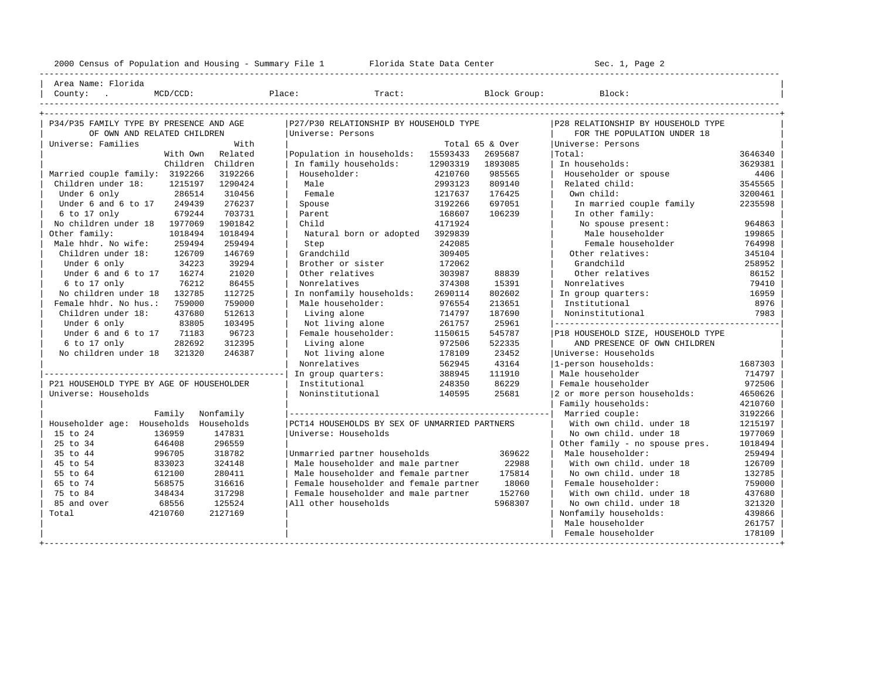2000 Census of Population and Housing - Summary File 1 Telorida State Data Center Sec. 1, Page 2

+---------------------------------------------------------------------------------------------------------------------------------------------------+

---------------------------------------------------------------------------------------------------------------------------------------------------- | Area Name: Florida | | County: . MCD/CCD: Place: Tract: Block Group: Block: | ----------------------------------------------------------------------------------------------------------------------------------------------------

| P34/P35 FAMILY TYPE BY PRESENCE AND AGE   |                                | P27/P30 RELATIONSHIP BY HOUSEHOLD TYPE        |          | P28 RELATIONSHIP BY HOUSEHOLD TYPE |                                    |         |  |  |
|-------------------------------------------|--------------------------------|-----------------------------------------------|----------|------------------------------------|------------------------------------|---------|--|--|
| OF OWN AND RELATED CHILDREN               |                                | Universe: Persons                             |          | FOR THE POPULATION UNDER 18        |                                    |         |  |  |
| Universe: Families                        | With                           |                                               |          | Total 65 & Over                    | Universe: Persons                  |         |  |  |
| With Own                                  | Related                        | Population in households:                     | 15593433 | 2695687                            | Total:                             | 3646340 |  |  |
| Children Children                         |                                | In family households:                         | 12903319 | 1893085                            | In households:                     | 3629381 |  |  |
| Married couple family: 3192266            | 3192266                        | Householder:                                  | 4210760  | 985565                             | Householder or spouse              | 4406    |  |  |
| Children under 18:<br>1215197             | 1290424                        | Male                                          | 2993123  | 809140                             | Related child:                     | 3545565 |  |  |
| 286514<br>Under 6 only                    | 310456                         | Female                                        | 1217637  | 176425                             | Own child:                         | 3200461 |  |  |
| Under 6 and 6 to 17 249439                | 276237                         | Spouse                                        | 3192266  | 697051                             | In married couple family           | 2235598 |  |  |
| 679244<br>6 to 17 only                    | 703731                         | Parent                                        | 168607   | 106239                             | In other family:                   |         |  |  |
| No children under 18<br>1977069           | 1901842                        | Child                                         | 4171924  |                                    | No spouse present:                 | 964863  |  |  |
| Other family:<br>1018494                  | 1018494                        | Natural born or adopted                       | 3929839  |                                    | Male householder                   | 199865  |  |  |
| Male hhdr. No wife:<br>259494             | 259494                         | Step                                          | 242085   |                                    | Female householder                 | 764998  |  |  |
| Children under 18:<br>126709              | 146769                         | Grandchild                                    | 309405   |                                    | Other relatives:                   | 345104  |  |  |
| 34223<br>Under 6 only                     | 39294                          | Brother or sister                             | 172062   |                                    | Grandchild                         | 258952  |  |  |
| 16274<br>Under 6 and 6 to 17              | 21020                          | Other relatives                               | 303987   | 88839                              | Other relatives                    | 86152   |  |  |
| 76212<br>6 to 17 only                     | 86455                          | Nonrelatives                                  | 374308   | 15391                              | Nonrelatives                       | 79410   |  |  |
| No children under 18<br>132785            | 112725                         | In nonfamily households:                      | 2690114  | 802602                             | In group quarters:                 | 16959   |  |  |
| Female hhdr. No hus.:<br>759000           | 759000                         | Male householder:                             | 976554   | 213651                             | Institutional                      | 8976    |  |  |
| Children under 18:<br>437680              | 512613                         | Living alone                                  | 714797   | 187690                             | Noninstitutional                   | 7983    |  |  |
| Under 6 only<br>83805                     | 103495                         | Not living alone                              | 261757   | 25961                              |                                    |         |  |  |
| 71183<br>Under 6 and 6 to 17              | 96723                          | Female householder:                           | 1150615  | 545787                             | P18 HOUSEHOLD SIZE, HOUSEHOLD TYPE |         |  |  |
| $6$ to $17$ only<br>282692                | 312395                         | Living alone                                  | 972506   | 522335                             | AND PRESENCE OF OWN CHILDREN       |         |  |  |
| No children under 18 321320               | 246387                         | Not living alone                              | 178109   | 23452                              | Universe: Households               |         |  |  |
|                                           |                                | Nonrelatives                                  | 562945   | 43164                              | 1-person households:               | 1687303 |  |  |
|                                           |                                | In group quarters:                            | 388945   | 111910                             | Male householder                   | 714797  |  |  |
| P21 HOUSEHOLD TYPE BY AGE OF HOUSEHOLDER  |                                | Institutional                                 | 248350   | 86229                              | Female householder                 | 972506  |  |  |
| Universe: Households                      |                                | Noninstitutional                              | 140595   | 25681                              | 2 or more person households:       | 4650626 |  |  |
|                                           |                                |                                               |          |                                    | Family households:                 | 4210760 |  |  |
| Nonfamily<br>Family                       |                                |                                               |          |                                    | Married couple:                    | 3192266 |  |  |
| Householder age: Households<br>Households |                                | PCT14 HOUSEHOLDS BY SEX OF UNMARRIED PARTNERS |          |                                    | With own child. under 18           | 1215197 |  |  |
| 15 to 24<br>136959                        | 147831<br>Universe: Households |                                               |          |                                    | No own child. under 18             | 1977069 |  |  |
| 25 to 34<br>646408                        | 296559                         |                                               |          |                                    | Other family - no spouse pres.     | 1018494 |  |  |
| 996705<br>35 to 44                        | 318782                         | Unmarried partner households                  |          | Male householder:                  | 259494                             |         |  |  |
| 833023<br>45 to 54                        | 324148                         | Male householder and male partner             |          | With own child. under 18           | 126709                             |         |  |  |
| 612100<br>55 to 64                        | 280411                         | Male householder and female partner           |          | No own child. under 18             | 132785                             |         |  |  |
| 65 to 74<br>568575                        | 316616                         | Female householder and female partner         |          | Female householder:                | 759000                             |         |  |  |
| 75 to 84<br>348434                        | 317298                         | Female householder and male partner           |          | With own child, under 18           | 437680                             |         |  |  |
| 85 and over<br>68556                      | 125524                         | All other households                          |          | No own child, under 18             | 321320                             |         |  |  |
| Total<br>4210760                          | 2127169                        |                                               |          |                                    | Nonfamily households:              | 439866  |  |  |
|                                           |                                |                                               |          |                                    | Male householder                   | 261757  |  |  |
|                                           |                                |                                               |          |                                    | Female householder                 | 178109  |  |  |
|                                           |                                |                                               |          |                                    |                                    |         |  |  |